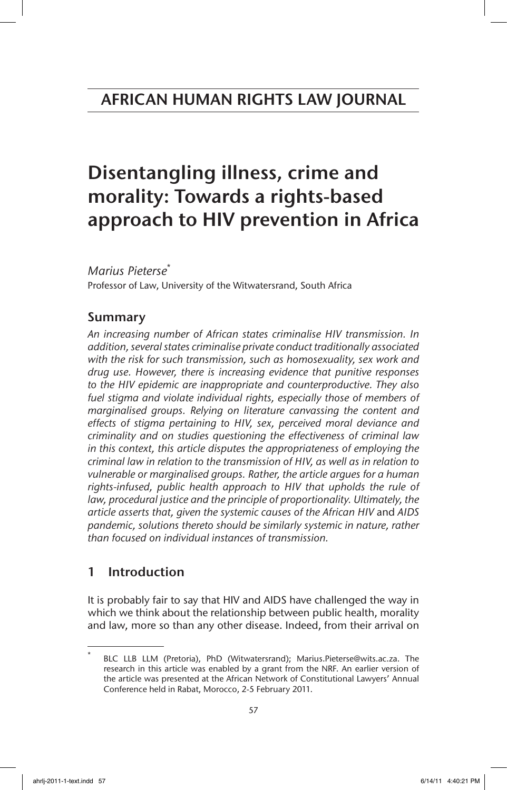# Disentangling illness, crime and morality: Towards a rights-based approach to HIV prevention in Africa

*Marius Pieterse*\*

Professor of Law, University of the Witwatersrand, South Africa

# Summary

*An increasing number of African states criminalise HIV transmission. In addition, several states criminalise private conduct traditionally associated with the risk for such transmission, such as homosexuality, sex work and drug use. However, there is increasing evidence that punitive responses to the HIV epidemic are inappropriate and counterproductive. They also*  fuel stigma and violate individual rights, especially those of members of *marginalised groups. Relying on literature canvassing the content and effects of stigma pertaining to HIV, sex, perceived moral deviance and criminality and on studies questioning the effectiveness of criminal law in this context, this article disputes the appropriateness of employing the criminal law in relation to the transmission of HIV, as well as in relation to vulnerable or marginalised groups. Rather, the article argues for a human*  rights-infused, public health approach to HIV that upholds the rule of law, procedural justice and the principle of proportionality. Ultimately, the *article asserts that, given the systemic causes of the African HIV* and *AIDS pandemic, solutions thereto should be similarly systemic in nature, rather than focused on individual instances of transmission.*

# 1 Introduction

It is probably fair to say that HIV and AIDS have challenged the way in which we think about the relationship between public health, morality and law, more so than any other disease. Indeed, from their arrival on

BLC LLB LLM (Pretoria), PhD (Witwatersrand); Marius.Pieterse@wits.ac.za. The research in this article was enabled by a grant from the NRF. An earlier version of the article was presented at the African Network of Constitutional Lawyers' Annual Conference held in Rabat, Morocco, 2-5 February 2011.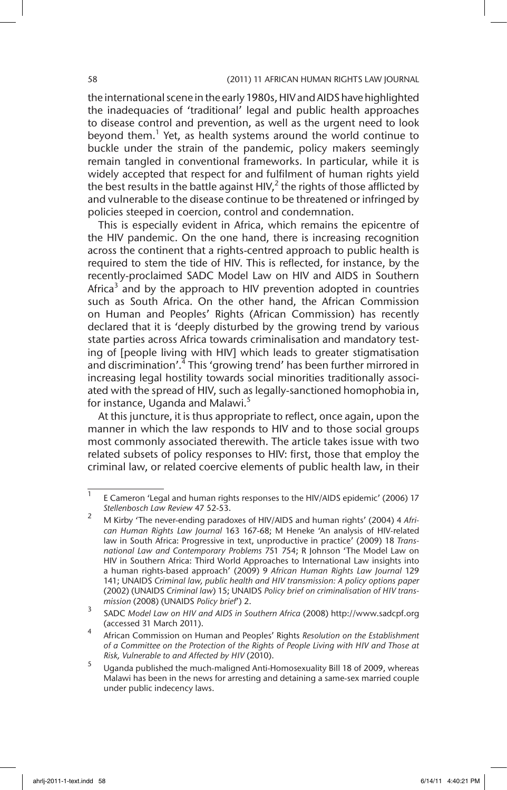#### 58 (2011) 11 AFRICAN HUMAN RIGHTS LAW JOURNAL

the international scene in the early 1980s, HIV and AIDS have highlighted the inadequacies of 'traditional' legal and public health approaches to disease control and prevention, as well as the urgent need to look beyond them.<sup>1</sup> Yet, as health systems around the world continue to buckle under the strain of the pandemic, policy makers seemingly remain tangled in conventional frameworks. In particular, while it is widely accepted that respect for and fulfilment of human rights yield the best results in the battle against HIV,<sup>2</sup> the rights of those afflicted by and vulnerable to the disease continue to be threatened or infringed by policies steeped in coercion, control and condemnation.

This is especially evident in Africa, which remains the epicentre of the HIV pandemic. On the one hand, there is increasing recognition across the continent that a rights-centred approach to public health is required to stem the tide of HIV. This is reflected, for instance, by the recently-proclaimed SADC Model Law on HIV and AIDS in Southern Africa $3$  and by the approach to HIV prevention adopted in countries such as South Africa. On the other hand, the African Commission on Human and Peoples' Rights (African Commission) has recently declared that it is 'deeply disturbed by the growing trend by various state parties across Africa towards criminalisation and mandatory testing of [people living with HIV] which leads to greater stigmatisation and discrimination'.<sup>4</sup> This 'growing trend' has been further mirrored in increasing legal hostility towards social minorities traditionally associated with the spread of HIV, such as legally-sanctioned homophobia in, for instance, Uganda and Malawi.<sup>5</sup>

At this juncture, it is thus appropriate to reflect, once again, upon the manner in which the law responds to HIV and to those social groups most commonly associated therewith. The article takes issue with two related subsets of policy responses to HIV: first, those that employ the criminal law, or related coercive elements of public health law, in their

 $\overline{1}$  E Cameron 'Legal and human rights responses to the HIV/AIDS epidemic' (2006) 17 *Stellenbosch Law Review* 47 52-53.

<sup>2</sup> M Kirby 'The never-ending paradoxes of HIV/AIDS and human rights' (2004) 4 *African Human Rights Law Journal* 163 167-68; M Heneke 'An analysis of HIV-related law in South Africa: Progressive in text, unproductive in practice' (2009) 18 *Transnational Law and Contemporary Problems* 751 754; R Johnson 'The Model Law on HIV in Southern Africa: Third World Approaches to International Law insights into a human rights-based approach' (2009) 9 *African Human Rights Law Journal* 129 141; UNAIDS *Criminal law, public health and HIV transmission: A policy options paper* (2002) (UNAIDS *Criminal law*) 15; UNAIDS *Policy brief on criminalisation of HIV transmission* (2008) (UNAIDS *Policy brief*') 2.

<sup>3</sup> SADC *Model Law on HIV and AIDS in Southern Africa* (2008) http://www.sadcpf.org (accessed 31 March 2011).

<sup>4</sup> African Commission on Human and Peoples' Rights *Resolution on the Establishment of a Committee on the Protection of the Rights of People Living with HIV and Those at Risk, Vulnerable to and Affected by HIV* (2010).

<sup>5</sup> Uganda published the much-maligned Anti-Homosexuality Bill 18 of 2009, whereas Malawi has been in the news for arresting and detaining a same-sex married couple under public indecency laws.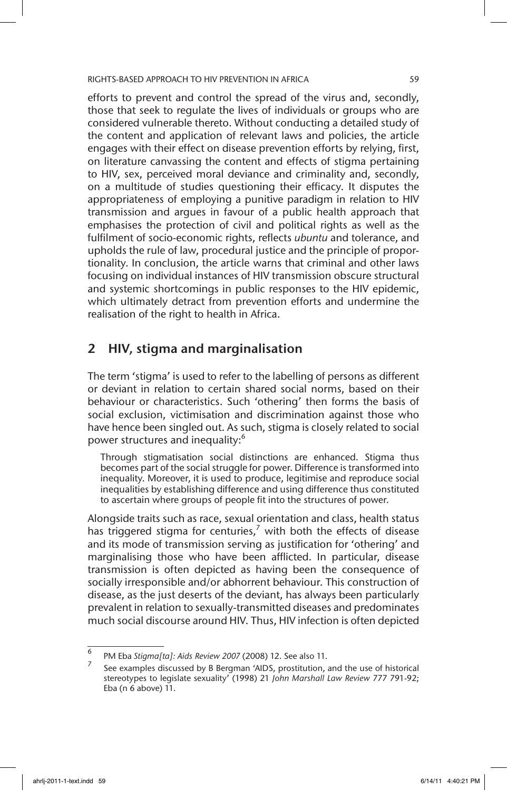efforts to prevent and control the spread of the virus and, secondly, those that seek to regulate the lives of individuals or groups who are considered vulnerable thereto. Without conducting a detailed study of the content and application of relevant laws and policies, the article engages with their effect on disease prevention efforts by relying, first, on literature canvassing the content and effects of stigma pertaining to HIV, sex, perceived moral deviance and criminality and, secondly, on a multitude of studies questioning their efficacy. It disputes the appropriateness of employing a punitive paradigm in relation to HIV transmission and argues in favour of a public health approach that emphasises the protection of civil and political rights as well as the fulfilment of socio-economic rights, reflects *ubuntu* and tolerance, and upholds the rule of law, procedural justice and the principle of proportionality. In conclusion, the article warns that criminal and other laws focusing on individual instances of HIV transmission obscure structural and systemic shortcomings in public responses to the HIV epidemic, which ultimately detract from prevention efforts and undermine the realisation of the right to health in Africa.

# 2 HIV, stigma and marginalisation

The term 'stigma' is used to refer to the labelling of persons as different or deviant in relation to certain shared social norms, based on their behaviour or characteristics. Such 'othering' then forms the basis of social exclusion, victimisation and discrimination against those who have hence been singled out. As such, stigma is closely related to social power structures and inequality:<sup>6</sup>

Through stigmatisation social distinctions are enhanced. Stigma thus becomes part of the social struggle for power. Difference is transformed into inequality. Moreover, it is used to produce, legitimise and reproduce social inequalities by establishing difference and using difference thus constituted to ascertain where groups of people fit into the structures of power.

Alongside traits such as race, sexual orientation and class, health status has triggered stigma for centuries,<sup>7</sup> with both the effects of disease and its mode of transmission serving as justification for 'othering' and marginalising those who have been afflicted. In particular, disease transmission is often depicted as having been the consequence of socially irresponsible and/or abhorrent behaviour. This construction of disease, as the just deserts of the deviant, has always been particularly prevalent in relation to sexually-transmitted diseases and predominates much social discourse around HIV. Thus, HIV infection is often depicted

<sup>6</sup> PM Eba *Stigma[ta]: Aids Review 2007* (2008) 12. See also 11.

<sup>7</sup> See examples discussed by B Bergman 'AIDS, prostitution, and the use of historical stereotypes to legislate sexuality' (1998) 21 *John Marshall Law Review* 777 791-92; Eba (n 6 above) 11.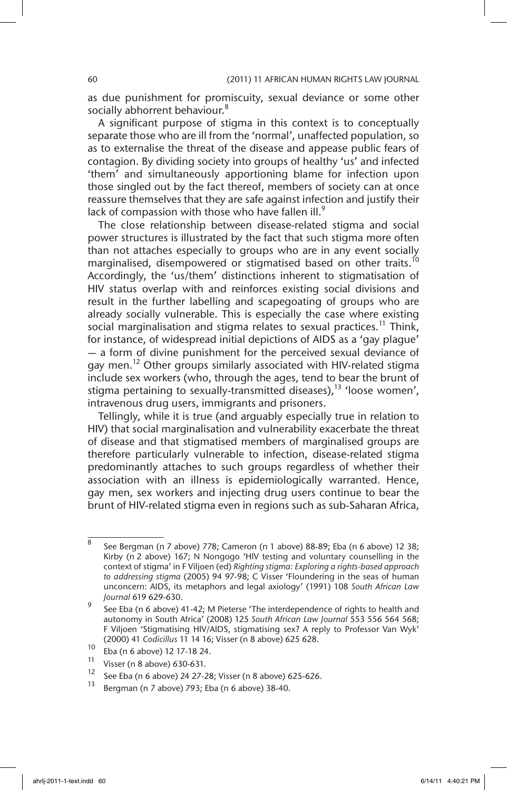as due punishment for promiscuity, sexual deviance or some other socially abhorrent behaviour.<sup>8</sup>

A significant purpose of stigma in this context is to conceptually separate those who are ill from the 'normal', unaffected population, so as to externalise the threat of the disease and appease public fears of contagion. By dividing society into groups of healthy 'us' and infected 'them' and simultaneously apportioning blame for infection upon those singled out by the fact thereof, members of society can at once reassure themselves that they are safe against infection and justify their lack of compassion with those who have fallen ill. $9$ 

The close relationship between disease-related stigma and social power structures is illustrated by the fact that such stigma more often than not attaches especially to groups who are in any event socially marginalised, disempowered or stigmatised based on other traits.<sup>10</sup> Accordingly, the 'us/them' distinctions inherent to stigmatisation of HIV status overlap with and reinforces existing social divisions and result in the further labelling and scapegoating of groups who are already socially vulnerable. This is especially the case where existing social marginalisation and stigma relates to sexual practices.<sup>11</sup> Think, for instance, of widespread initial depictions of AIDS as a 'gay plague' — a form of divine punishment for the perceived sexual deviance of gay men.<sup>12</sup> Other groups similarly associated with HIV-related stigma include sex workers (who, through the ages, tend to bear the brunt of stigma pertaining to sexually-transmitted diseases), $^{13}$  'loose women', intravenous drug users, immigrants and prisoners.

Tellingly, while it is true (and arguably especially true in relation to HIV) that social marginalisation and vulnerability exacerbate the threat of disease and that stigmatised members of marginalised groups are therefore particularly vulnerable to infection, disease-related stigma predominantly attaches to such groups regardless of whether their association with an illness is epidemiologically warranted. Hence, gay men, sex workers and injecting drug users continue to bear the brunt of HIV-related stigma even in regions such as sub-Saharan Africa,

<sup>&</sup>lt;sup>8</sup> See Bergman (n 7 above) 778; Cameron (n 1 above) 88-89; Eba (n 6 above) 12 38; Kirby (n 2 above) 167; N Nongogo 'HIV testing and voluntary counselling in the context of stigma' in F Viljoen (ed) *Righting stigma: Exploring a rights-based approach to addressing stigma* (2005) 94 97-98; C Visser 'Floundering in the seas of human unconcern: AIDS, its metaphors and legal axiology' (1991) 108 *South African Law Journal* 619 629-630.

 $\frac{9}{9}$  See Eba (n 6 above) 41-42; M Pieterse 'The interdependence of rights to health and autonomy in South Africa' (2008) 125 *South African Law Journal* 553 556 564 568; F Viljoen 'Stigmatising HIV/AIDS, stigmatising sex? A reply to Professor Van Wyk' (2000) 41 *Codicillus* 11 14 16; Visser (n 8 above) 625 628.

 $^{10}$  Eba (n 6 above) 12 17-18 24.

<sup>&</sup>lt;sup>11</sup> Visser (n 8 above) 630-631.

<sup>&</sup>lt;sup>12</sup> See Eba (n 6 above) 24 27-28; Visser (n 8 above) 625-626.<br><sup>13</sup> December (n 7 above) 793; Flas (n 6 above) 38 49.

<sup>13</sup> Bergman (n 7 above) 793; Eba (n 6 above) 38-40.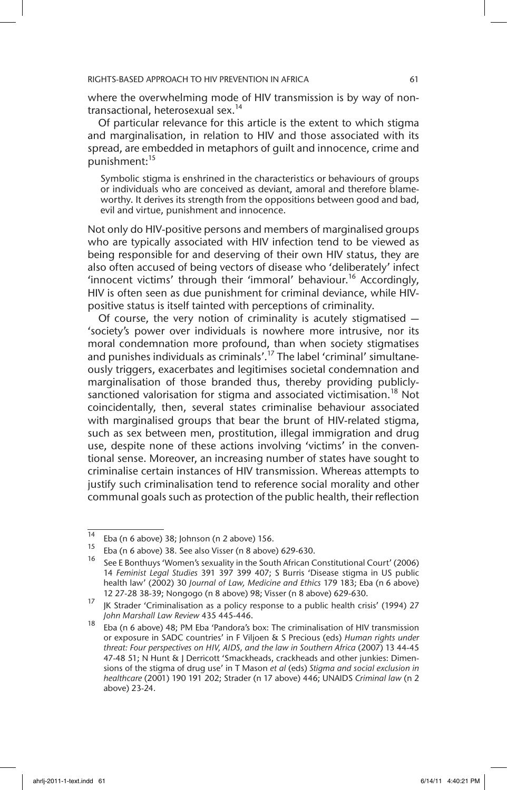where the overwhelming mode of HIV transmission is by way of nontransactional, heterosexual sex.<sup>14</sup>

Of particular relevance for this article is the extent to which stigma and marginalisation, in relation to HIV and those associated with its spread, are embedded in metaphors of guilt and innocence, crime and punishment:<sup>15</sup>

Symbolic stigma is enshrined in the characteristics or behaviours of groups or individuals who are conceived as deviant, amoral and therefore blameworthy. It derives its strength from the oppositions between good and bad, evil and virtue, punishment and innocence.

Not only do HIV-positive persons and members of marginalised groups who are typically associated with HIV infection tend to be viewed as being responsible for and deserving of their own HIV status, they are also often accused of being vectors of disease who 'deliberately' infect 'innocent victims' through their 'immoral' behaviour.<sup>16</sup> Accordingly, HIV is often seen as due punishment for criminal deviance, while HIVpositive status is itself tainted with perceptions of criminality.

Of course, the very notion of criminality is acutely stigmatised — 'society's power over individuals is nowhere more intrusive, nor its moral condemnation more profound, than when society stigmatises and punishes individuals as criminals'.<sup>17</sup> The label 'criminal' simultaneously triggers, exacerbates and legitimises societal condemnation and marginalisation of those branded thus, thereby providing publiclysanctioned valorisation for stigma and associated victimisation.<sup>18</sup> Not coincidentally, then, several states criminalise behaviour associated with marginalised groups that bear the brunt of HIV-related stigma, such as sex between men, prostitution, illegal immigration and drug use, despite none of these actions involving 'victims' in the conventional sense. Moreover, an increasing number of states have sought to criminalise certain instances of HIV transmission. Whereas attempts to justify such criminalisation tend to reference social morality and other communal goals such as protection of the public health, their reflection

<sup>&</sup>lt;sup>14</sup> Eba (n 6 above) 38; Johnson (n 2 above) 156.

<sup>&</sup>lt;sup>15</sup> Eba (n 6 above) 38. See also Visser (n 8 above) 629-630.

See E Bonthuys 'Women's sexuality in the South African Constitutional Court' (2006) 14 *Feminist Legal Studies* 391 397 399 407; S Burris 'Disease stigma in US public health law' (2002) 30 *Journal of Law, Medicine and Ethics* 179 183; Eba (n 6 above) 12 27-28 38-39; Nongogo (n 8 above) 98; Visser (n 8 above) 629-630.

<sup>17</sup> JK Strader 'Criminalisation as a policy response to a public health crisis' (1994) 27 *John Marshall Law Review* 435 445-446.

<sup>&</sup>lt;sup>18</sup> Eba (n 6 above) 48; PM Eba 'Pandora's box: The criminalisation of HIV transmission or exposure in SADC countries' in F Viljoen & S Precious (eds) *Human rights under threat: Four perspectives on HIV, AIDS, and the law in Southern Africa* (2007) 13 44-45 47-48 51; N Hunt & J Derricott 'Smackheads, crackheads and other junkies: Dimensions of the stigma of drug use' in T Mason *et al* (eds) *Stigma and social exclusion in healthcare* (2001) 190 191 202; Strader (n 17 above) 446; UNAIDS *Criminal law* (n 2 above) 23-24.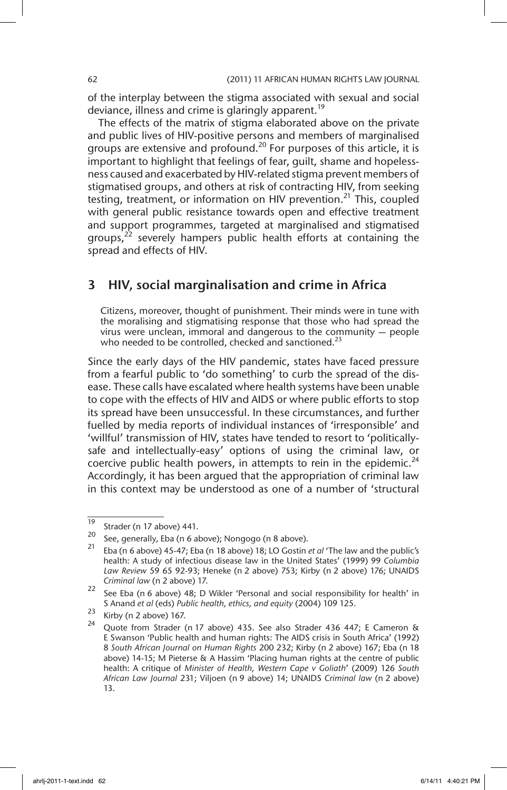of the interplay between the stigma associated with sexual and social deviance, illness and crime is glaringly apparent.<sup>19</sup>

The effects of the matrix of stigma elaborated above on the private and public lives of HIV-positive persons and members of marginalised groups are extensive and profound.<sup>20</sup> For purposes of this article, it is important to highlight that feelings of fear, guilt, shame and hopelessness caused and exacerbated by HIV-related stigma prevent members of stigmatised groups, and others at risk of contracting HIV, from seeking testing, treatment, or information on HIV prevention.<sup>21</sup> This, coupled with general public resistance towards open and effective treatment and support programmes, targeted at marginalised and stigmatised groups, $^{22}$  severely hampers public health efforts at containing the spread and effects of HIV.

### 3 HIV, social marginalisation and crime in Africa

Citizens, moreover, thought of punishment. Their minds were in tune with the moralising and stigmatising response that those who had spread the virus were unclean, immoral and dangerous to the community — people who needed to be controlled, checked and sanctioned.<sup>23</sup>

Since the early days of the HIV pandemic, states have faced pressure from a fearful public to 'do something' to curb the spread of the disease. These calls have escalated where health systems have been unable to cope with the effects of HIV and AIDS or where public efforts to stop its spread have been unsuccessful. In these circumstances, and further fuelled by media reports of individual instances of 'irresponsible' and 'willful' transmission of HIV, states have tended to resort to 'politicallysafe and intellectually-easy' options of using the criminal law, or coercive public health powers, in attempts to rein in the epidemic.<sup>24</sup> Accordingly, it has been argued that the appropriation of criminal law in this context may be understood as one of a number of 'structural

 $\frac{19}{20}$  Strader (n 17 above) 441.

<sup>&</sup>lt;sup>20</sup> See, generally, Eba (n 6 above); Nongogo (n 8 above).<br><sup>21</sup> Flash (1 above), 15 and 16 above)

<sup>21</sup> Eba (n 6 above) 45-47; Eba (n 18 above) 18; LO Gostin *et al* 'The law and the public's health: A study of infectious disease law in the United States' (1999) 99 *Columbia Law Review* 59 65 92-93; Heneke (n 2 above) 753; Kirby (n 2 above) 176; UNAIDS *Criminal law* (n 2 above) 17.

<sup>&</sup>lt;sup>22</sup> See Eba (n 6 above) 48; D Wikler 'Personal and social responsibility for health' in S Anand *et al* (eds) *Public health, ethics, and equity* (2004) 109 125.

 $\frac{23}{24}$  Kirby (n 2 above) 167.

Quote from Strader (n 17 above) 435. See also Strader 436 447; E Cameron & E Swanson 'Public health and human rights: The AIDS crisis in South Africa' (1992) 8 *South African Journal on Human Rights* 200 232; Kirby (n 2 above) 167; Eba (n 18 above) 14-15; M Pieterse & A Hassim 'Placing human rights at the centre of public health: A critique of *Minister of Health, Western Cape v Goliath*' (2009) 126 *South African Law Journal* 231; Viljoen (n 9 above) 14; UNAIDS *Criminal law* (n 2 above) 13.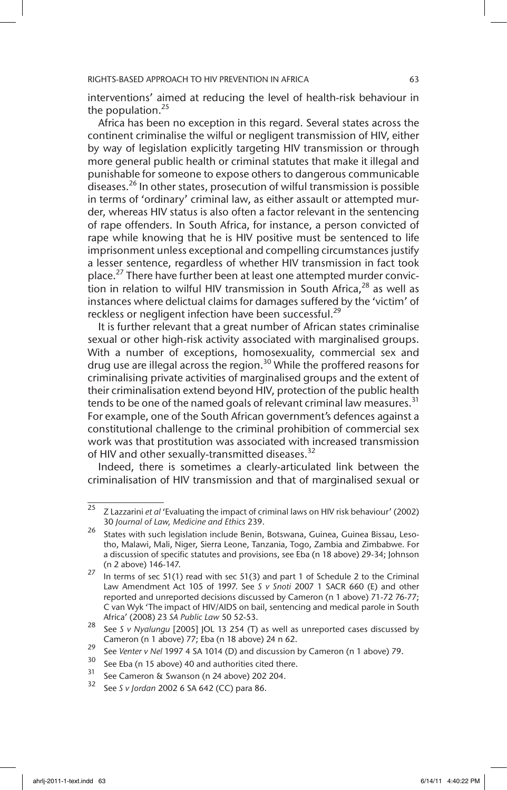interventions' aimed at reducing the level of health-risk behaviour in the population.<sup>25</sup>

Africa has been no exception in this regard. Several states across the continent criminalise the wilful or negligent transmission of HIV, either by way of legislation explicitly targeting HIV transmission or through more general public health or criminal statutes that make it illegal and punishable for someone to expose others to dangerous communicable diseases.<sup>26</sup> In other states, prosecution of wilful transmission is possible in terms of 'ordinary' criminal law, as either assault or attempted murder, whereas HIV status is also often a factor relevant in the sentencing of rape offenders. In South Africa, for instance, a person convicted of rape while knowing that he is HIV positive must be sentenced to life imprisonment unless exceptional and compelling circumstances justify a lesser sentence, regardless of whether HIV transmission in fact took place.<sup>27</sup> There have further been at least one attempted murder conviction in relation to wilful HIV transmission in South Africa, $28$  as well as instances where delictual claims for damages suffered by the 'victim' of reckless or negligent infection have been successful.<sup>29</sup>

It is further relevant that a great number of African states criminalise sexual or other high-risk activity associated with marginalised groups. With a number of exceptions, homosexuality, commercial sex and drug use are illegal across the region.<sup>30</sup> While the proffered reasons for criminalising private activities of marginalised groups and the extent of their criminalisation extend beyond HIV, protection of the public health tends to be one of the named goals of relevant criminal law measures.<sup>31</sup> For example, one of the South African government's defences against a constitutional challenge to the criminal prohibition of commercial sex work was that prostitution was associated with increased transmission of HIV and other sexually-transmitted diseases.<sup>32</sup>

Indeed, there is sometimes a clearly-articulated link between the criminalisation of HIV transmission and that of marginalised sexual or

<sup>25</sup> Z Lazzarini *et al* 'Evaluating the impact of criminal laws on HIV risk behaviour' (2002) 30 *Journal of Law, Medicine and Ethics* 239.

<sup>&</sup>lt;sup>26</sup> States with such legislation include Benin, Botswana, Guinea, Guinea Bissau, Lesotho, Malawi, Mali, Niger, Sierra Leone, Tanzania, Togo, Zambia and Zimbabwe. For a discussion of specific statutes and provisions, see Eba (n 18 above) 29-34; Johnson (n 2 above) 146-147.

<sup>&</sup>lt;sup>27</sup> In terms of sec 51(1) read with sec 51(3) and part 1 of Schedule 2 to the Criminal Law Amendment Act 105 of 1997. See *S v Snoti* 2007 1 SACR 660 (E) and other reported and unreported decisions discussed by Cameron (n 1 above) 71-72 76-77; C van Wyk 'The impact of HIV/AIDS on bail, sentencing and medical parole in South Africa' (2008) 23 *SA Public Law* 50 52-53.

<sup>28</sup> See *S v Nyalungu* [2005] JOL 13 254 (T) as well as unreported cases discussed by Cameron (n 1 above) 77; Eba (n 18 above) 24 n 62.

<sup>29</sup> See *Venter v Nel* 1997 4 SA 1014 (D) and discussion by Cameron (n 1 above) 79.

<sup>&</sup>lt;sup>30</sup> See Eba (n 15 above) 40 and authorities cited there.

 $\frac{31}{32}$  See Cameron & Swanson (n 24 above) 202 204.

<sup>32</sup> See *S v Jordan* 2002 6 SA 642 (CC) para 86.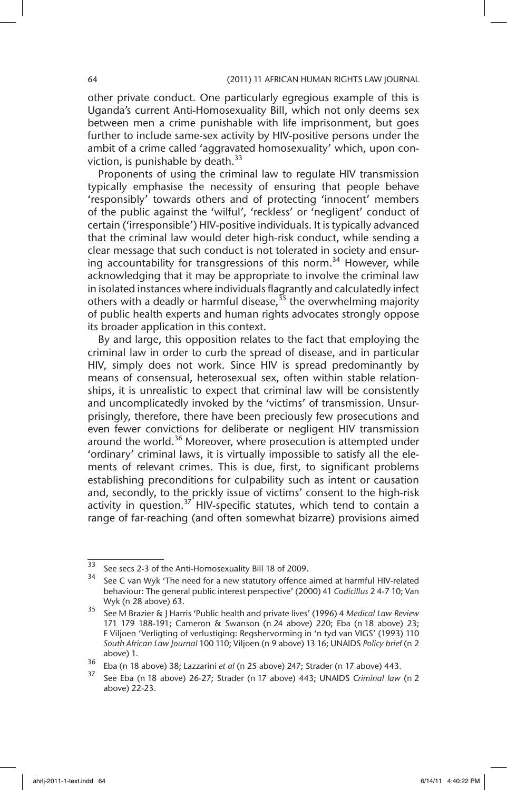other private conduct. One particularly egregious example of this is Uganda's current Anti-Homosexuality Bill, which not only deems sex between men a crime punishable with life imprisonment, but goes further to include same-sex activity by HIV-positive persons under the ambit of a crime called 'aggravated homosexuality' which, upon conviction, is punishable by death. $33$ 

Proponents of using the criminal law to regulate HIV transmission typically emphasise the necessity of ensuring that people behave 'responsibly' towards others and of protecting 'innocent' members of the public against the 'wilful', 'reckless' or 'negligent' conduct of certain ('irresponsible') HIV-positive individuals. It is typically advanced that the criminal law would deter high-risk conduct, while sending a clear message that such conduct is not tolerated in society and ensuring accountability for transgressions of this norm.<sup>34</sup> However, while acknowledging that it may be appropriate to involve the criminal law in isolated instances where individuals flagrantly and calculatedly infect others with a deadly or harmful disease,  $35$  the overwhelming majority of public health experts and human rights advocates strongly oppose its broader application in this context.

By and large, this opposition relates to the fact that employing the criminal law in order to curb the spread of disease, and in particular HIV, simply does not work. Since HIV is spread predominantly by means of consensual, heterosexual sex, often within stable relationships, it is unrealistic to expect that criminal law will be consistently and uncomplicatedly invoked by the 'victims' of transmission. Unsurprisingly, therefore, there have been preciously few prosecutions and even fewer convictions for deliberate or negligent HIV transmission around the world.<sup>36</sup> Moreover, where prosecution is attempted under 'ordinary' criminal laws, it is virtually impossible to satisfy all the elements of relevant crimes. This is due, first, to significant problems establishing preconditions for culpability such as intent or causation and, secondly, to the prickly issue of victims' consent to the high-risk activity in question.<sup>37</sup> HIV-specific statutes, which tend to contain a range of far-reaching (and often somewhat bizarre) provisions aimed

<sup>33</sup> See secs 2-3 of the Anti-Homosexuality Bill 18 of 2009.

See C van Wyk 'The need for a new statutory offence aimed at harmful HIV-related behaviour: The general public interest perspective' (2000) 41 *Codicillus* 2 4-7 10; Van Wyk (n 28 above) 63.

<sup>35</sup> See M Brazier & J Harris 'Public health and private lives' (1996) 4 *Medical Law Review* 171 179 188-191; Cameron & Swanson (n 24 above) 220; Eba (n 18 above) 23; F Viljoen 'Verligting of verlustiging: Regshervorming in 'n tyd van VIGS' (1993) 110 *South African Law Journal* 100 110; Viljoen (n 9 above) 13 16; UNAIDS *Policy brief* (n 2 above) 1.

<sup>36</sup> Eba (n 18 above) 38; Lazzarini *et al* (n 25 above) 247; Strader (n 17 above) 443.

<sup>37</sup> See Eba (n 18 above) 26-27; Strader (n 17 above) 443; UNAIDS *Criminal law* (n 2 above) 22-23.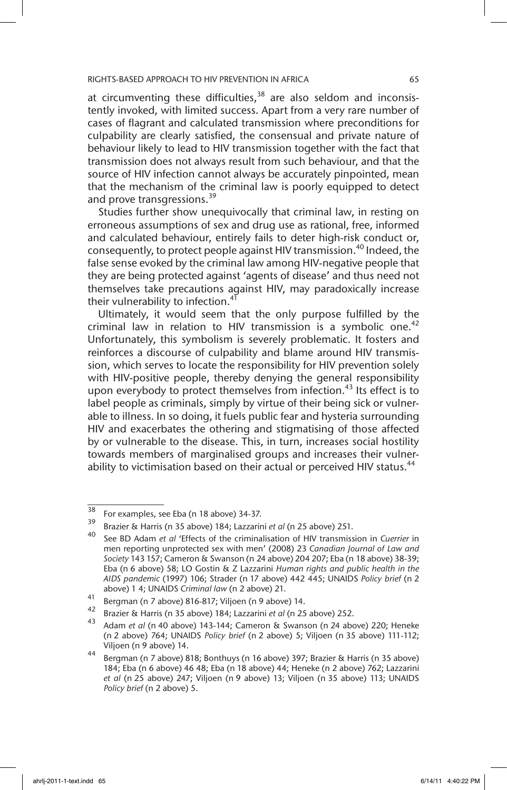at circumventing these difficulties,  $38$  are also seldom and inconsistently invoked, with limited success. Apart from a very rare number of cases of flagrant and calculated transmission where preconditions for culpability are clearly satisfied, the consensual and private nature of behaviour likely to lead to HIV transmission together with the fact that transmission does not always result from such behaviour, and that the source of HIV infection cannot always be accurately pinpointed, mean that the mechanism of the criminal law is poorly equipped to detect and prove transgressions.<sup>39</sup>

Studies further show unequivocally that criminal law, in resting on erroneous assumptions of sex and drug use as rational, free, informed and calculated behaviour, entirely fails to deter high-risk conduct or, consequently, to protect people against HIV transmission.<sup>40</sup> Indeed, the false sense evoked by the criminal law among HIV-negative people that they are being protected against 'agents of disease' and thus need not themselves take precautions against HIV, may paradoxically increase their vulnerability to infection.<sup>41</sup>

Ultimately, it would seem that the only purpose fulfilled by the criminal law in relation to HIV transmission is a symbolic one.<sup>42</sup> Unfortunately, this symbolism is severely problematic. It fosters and reinforces a discourse of culpability and blame around HIV transmission, which serves to locate the responsibility for HIV prevention solely with HIV-positive people, thereby denying the general responsibility upon everybody to protect themselves from infection.<sup>43</sup> Its effect is to label people as criminals, simply by virtue of their being sick or vulnerable to illness. In so doing, it fuels public fear and hysteria surrounding HIV and exacerbates the othering and stigmatising of those affected by or vulnerable to the disease. This, in turn, increases social hostility towards members of marginalised groups and increases their vulnerability to victimisation based on their actual or perceived HIV status.<sup>44</sup>

 $\frac{38}{38}$  For examples, see Eba (n 18 above) 34-37.

<sup>39</sup> Brazier & Harris (n 35 above) 184; Lazzarini *et al* (n 25 above) 251.

<sup>40</sup> See BD Adam *et al* 'Effects of the criminalisation of HIV transmission in *Cuerrier* in men reporting unprotected sex with men' (2008) 23 *Canadian Journal of Law and Society* 143 157; Cameron & Swanson (n 24 above) 204 207; Eba (n 18 above) 38-39; Eba (n 6 above) 58; LO Gostin & Z Lazzarini *Human rights and public health in the AIDS pandemic* (1997) 106; Strader (n 17 above) 442 445; UNAIDS *Policy brief* (n 2 above) 1 4; UNAIDS *Criminal law* (n 2 above) 21.

<sup>41</sup> Bergman (n 7 above) 816-817; Viljoen (n 9 above) 14.<br>42 December 1946: California 1841 Lazzarini et al (n 25

<sup>42</sup> Brazier & Harris (n 35 above) 184; Lazzarini *et al* (n 25 above) 252.

<sup>43</sup> Adam *et al* (n 40 above) 143-144; Cameron & Swanson (n 24 above) 220; Heneke (n 2 above) 764; UNAIDS *Policy brief* (n 2 above) 5; Viljoen (n 35 above) 111-112; Viljoen (n 9 above) 14.

<sup>44</sup> Bergman (n 7 above) 818; Bonthuys (n 16 above) 397; Brazier & Harris (n 35 above) 184; Eba (n 6 above) 46 48; Eba (n 18 above) 44; Heneke (n 2 above) 762; Lazzarini *et al* (n 25 above) 247; Viljoen (n 9 above) 13; Viljoen (n 35 above) 113; UNAIDS *Policy brief* (n 2 above) 5.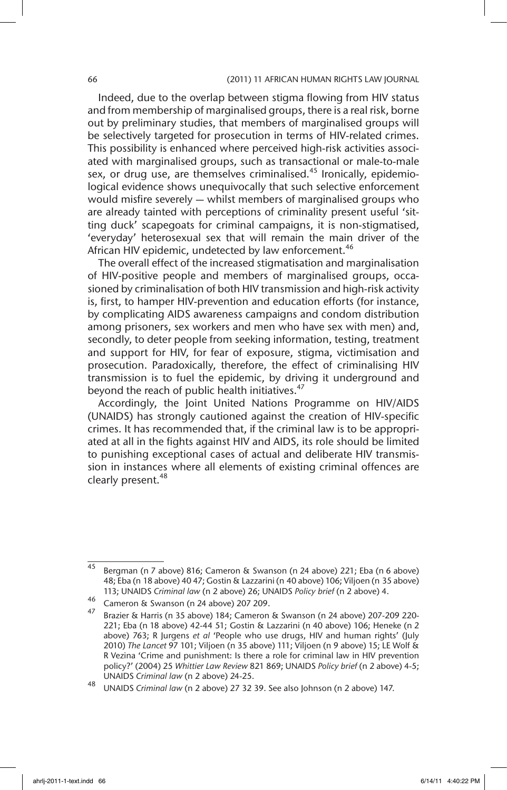#### 66 (2011) 11 AFRICAN HUMAN RIGHTS LAW JOURNAL

Indeed, due to the overlap between stigma flowing from HIV status and from membership of marginalised groups, there is a real risk, borne out by preliminary studies, that members of marginalised groups will be selectively targeted for prosecution in terms of HIV-related crimes. This possibility is enhanced where perceived high-risk activities associated with marginalised groups, such as transactional or male-to-male sex, or drug use, are themselves criminalised.<sup>45</sup> Ironically, epidemiological evidence shows unequivocally that such selective enforcement would misfire severely — whilst members of marginalised groups who are already tainted with perceptions of criminality present useful 'sitting duck' scapegoats for criminal campaigns, it is non-stigmatised, 'everyday' heterosexual sex that will remain the main driver of the African HIV epidemic, undetected by law enforcement.<sup>46</sup>

The overall effect of the increased stigmatisation and marginalisation of HIV-positive people and members of marginalised groups, occasioned by criminalisation of both HIV transmission and high-risk activity is, first, to hamper HIV-prevention and education efforts (for instance, by complicating AIDS awareness campaigns and condom distribution among prisoners, sex workers and men who have sex with men) and, secondly, to deter people from seeking information, testing, treatment and support for HIV, for fear of exposure, stigma, victimisation and prosecution. Paradoxically, therefore, the effect of criminalising HIV transmission is to fuel the epidemic, by driving it underground and beyond the reach of public health initiatives.<sup>47</sup>

Accordingly, the Joint United Nations Programme on HIV/AIDS (UNAIDS) has strongly cautioned against the creation of HIV-specific crimes. It has recommended that, if the criminal law is to be appropriated at all in the fights against HIV and AIDS, its role should be limited to punishing exceptional cases of actual and deliberate HIV transmission in instances where all elements of existing criminal offences are clearly present.<sup>48</sup>

 $\frac{45}{45}$  Bergman (n 7 above) 816; Cameron & Swanson (n 24 above) 221; Eba (n 6 above) 48; Eba (n 18 above) 40 47; Gostin & Lazzarini (n 40 above) 106; Viljoen (n 35 above) 113; UNAIDS *Criminal law* (n 2 above) 26; UNAIDS *Policy brief* (n 2 above) 4.

 $^{46}$  Cameron & Swanson (n 24 above) 207 209.

<sup>47</sup> Brazier & Harris (n 35 above) 184; Cameron & Swanson (n 24 above) 207-209 220- 221; Eba (n 18 above) 42-44 51; Gostin & Lazzarini (n 40 above) 106; Heneke (n 2 above) 763; R Jurgens *et al* 'People who use drugs, HIV and human rights' (July 2010) *The Lancet* 97 101; Viljoen (n 35 above) 111; Viljoen (n 9 above) 15; LE Wolf & R Vezina 'Crime and punishment: Is there a role for criminal law in HIV prevention policy?' (2004) 25 *Whittier Law Review* 821 869; UNAIDS *Policy brief* (n 2 above) 4-5; UNAIDS *Criminal law* (n 2 above) 24-25.

<sup>48</sup> UNAIDS *Criminal law* (n 2 above) 27 32 39. See also Johnson (n 2 above) 147.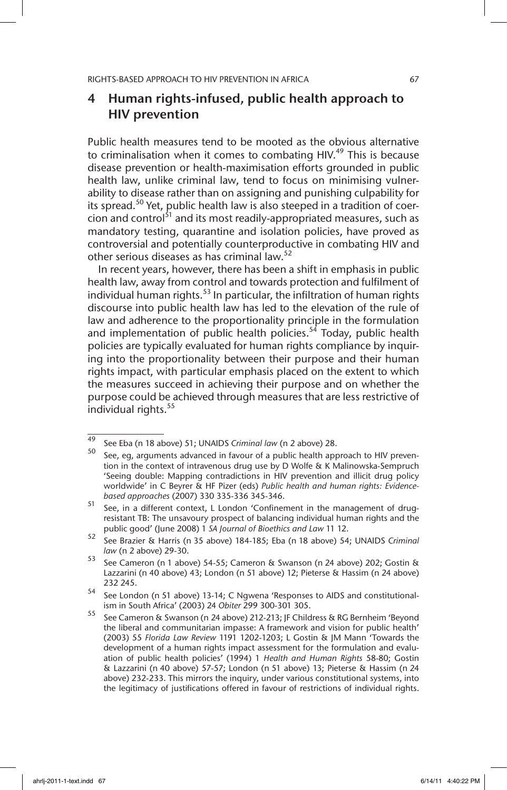## 4 Human rights-infused, public health approach to HIV prevention

Public health measures tend to be mooted as the obvious alternative to criminalisation when it comes to combating HIV.<sup>49</sup> This is because disease prevention or health-maximisation efforts grounded in public health law, unlike criminal law, tend to focus on minimising vulnerability to disease rather than on assigning and punishing culpability for its spread.<sup>50</sup> Yet, public health law is also steeped in a tradition of coercion and control<sup>51</sup> and its most readily-appropriated measures, such as mandatory testing, quarantine and isolation policies, have proved as controversial and potentially counterproductive in combating HIV and other serious diseases as has criminal law.<sup>52</sup>

In recent years, however, there has been a shift in emphasis in public health law, away from control and towards protection and fulfilment of individual human rights. $53$  In particular, the infiltration of human rights discourse into public health law has led to the elevation of the rule of law and adherence to the proportionality principle in the formulation and implementation of public health policies.<sup>54</sup> Today, public health policies are typically evaluated for human rights compliance by inquiring into the proportionality between their purpose and their human rights impact, with particular emphasis placed on the extent to which the measures succeed in achieving their purpose and on whether the purpose could be achieved through measures that are less restrictive of individual rights.<sup>55</sup>

<sup>49</sup> See Eba (n 18 above) 51; UNAIDS *Criminal law* (n 2 above) 28.

See, eg, arguments advanced in favour of a public health approach to HIV prevention in the context of intravenous drug use by D Wolfe & K Malinowska-Sempruch 'Seeing double: Mapping contradictions in HIV prevention and illicit drug policy worldwide' in C Beyrer & HF Pizer (eds) *Public health and human rights: Evidencebased approaches* (2007) 330 335-336 345-346.

<sup>51</sup> See, in a different context, L London 'Confinement in the management of drugresistant TB: The unsavoury prospect of balancing individual human rights and the public good' (June 2008) 1 *SA Journal of Bioethics and Law* 11 12.

<sup>52</sup> See Brazier & Harris (n 35 above) 184-185; Eba (n 18 above) 54; UNAIDS *Criminal law* (n 2 above) 29-30.

<sup>53</sup> See Cameron (n 1 above) 54-55; Cameron & Swanson (n 24 above) 202; Gostin & Lazzarini (n 40 above) 43; London (n 51 above) 12; Pieterse & Hassim (n 24 above) 232 245.

<sup>54</sup> See London (n 51 above) 13-14; C Ngwena 'Responses to AIDS and constitutionalism in South Africa' (2003) 24 *Obiter* 299 300-301 305.

<sup>55</sup> See Cameron & Swanson (n 24 above) 212-213; JF Childress & RG Bernheim 'Beyond the liberal and communitarian impasse: A framework and vision for public health' (2003) 55 *Florida Law Review* 1191 1202-1203; L Gostin & JM Mann 'Towards the development of a human rights impact assessment for the formulation and evaluation of public health policies' (1994) 1 *Health and Human Rights* 58-80; Gostin & Lazzarini (n 40 above) 57-57; London (n 51 above) 13; Pieterse & Hassim (n 24 above) 232-233. This mirrors the inquiry, under various constitutional systems, into the legitimacy of justifications offered in favour of restrictions of individual rights.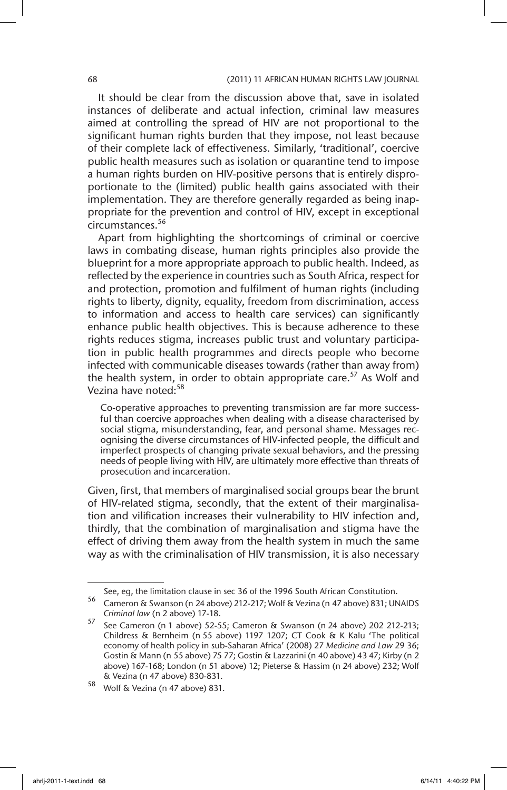It should be clear from the discussion above that, save in isolated instances of deliberate and actual infection, criminal law measures aimed at controlling the spread of HIV are not proportional to the significant human rights burden that they impose, not least because of their complete lack of effectiveness. Similarly, 'traditional', coercive public health measures such as isolation or quarantine tend to impose a human rights burden on HIV-positive persons that is entirely disproportionate to the (limited) public health gains associated with their implementation. They are therefore generally regarded as being inappropriate for the prevention and control of HIV, except in exceptional circumstances.<sup>56</sup>

Apart from highlighting the shortcomings of criminal or coercive laws in combating disease, human rights principles also provide the blueprint for a more appropriate approach to public health. Indeed, as reflected by the experience in countries such as South Africa, respect for and protection, promotion and fulfilment of human rights (including rights to liberty, dignity, equality, freedom from discrimination, access to information and access to health care services) can significantly enhance public health objectives. This is because adherence to these rights reduces stigma, increases public trust and voluntary participation in public health programmes and directs people who become infected with communicable diseases towards (rather than away from) the health system, in order to obtain appropriate care.<sup>57</sup> As Wolf and Vezina have noted:<sup>58</sup>

Co-operative approaches to preventing transmission are far more successful than coercive approaches when dealing with a disease characterised by social stigma, misunderstanding, fear, and personal shame. Messages recognising the diverse circumstances of HIV-infected people, the difficult and imperfect prospects of changing private sexual behaviors, and the pressing needs of people living with HIV, are ultimately more effective than threats of prosecution and incarceration.

Given, first, that members of marginalised social groups bear the brunt of HIV-related stigma, secondly, that the extent of their marginalisation and vilification increases their vulnerability to HIV infection and, thirdly, that the combination of marginalisation and stigma have the effect of driving them away from the health system in much the same way as with the criminalisation of HIV transmission, it is also necessary

See, eg, the limitation clause in sec 36 of the 1996 South African Constitution.

<sup>56</sup> Cameron & Swanson (n 24 above) 212-217; Wolf & Vezina (n 47 above) 831; UNAIDS *Criminal law* (n 2 above) 17-18.

<sup>57</sup> See Cameron (n 1 above) 52-55; Cameron & Swanson (n 24 above) 202 212-213; Childress & Bernheim (n 55 above) 1197 1207; CT Cook & K Kalu 'The political economy of health policy in sub-Saharan Africa' (2008) 27 *Medicine and Law* 29 36; Gostin & Mann (n 55 above) 75 77; Gostin & Lazzarini (n 40 above) 43 47; Kirby (n 2 above) 167-168; London (n 51 above) 12; Pieterse & Hassim (n 24 above) 232; Wolf & Vezina (n 47 above) 830-831.

<sup>58</sup> Wolf & Vezina (n 47 above) 831.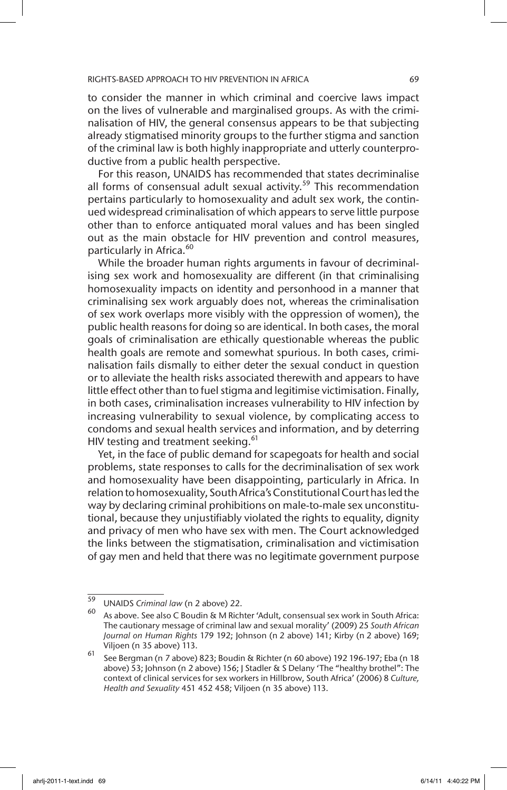to consider the manner in which criminal and coercive laws impact on the lives of vulnerable and marginalised groups. As with the criminalisation of HIV, the general consensus appears to be that subjecting already stigmatised minority groups to the further stigma and sanction of the criminal law is both highly inappropriate and utterly counterproductive from a public health perspective.

For this reason, UNAIDS has recommended that states decriminalise all forms of consensual adult sexual activity.<sup>59</sup> This recommendation pertains particularly to homosexuality and adult sex work, the continued widespread criminalisation of which appears to serve little purpose other than to enforce antiquated moral values and has been singled out as the main obstacle for HIV prevention and control measures, particularly in Africa.<sup>60</sup>

While the broader human rights arguments in favour of decriminalising sex work and homosexuality are different (in that criminalising homosexuality impacts on identity and personhood in a manner that criminalising sex work arguably does not, whereas the criminalisation of sex work overlaps more visibly with the oppression of women), the public health reasons for doing so are identical. In both cases, the moral goals of criminalisation are ethically questionable whereas the public health goals are remote and somewhat spurious. In both cases, criminalisation fails dismally to either deter the sexual conduct in question or to alleviate the health risks associated therewith and appears to have little effect other than to fuel stigma and legitimise victimisation. Finally, in both cases, criminalisation increases vulnerability to HIV infection by increasing vulnerability to sexual violence, by complicating access to condoms and sexual health services and information, and by deterring HIV testing and treatment seeking.<sup>61</sup>

Yet, in the face of public demand for scapegoats for health and social problems, state responses to calls for the decriminalisation of sex work and homosexuality have been disappointing, particularly in Africa. In relation to homosexuality, South Africa's Constitutional Court has led the way by declaring criminal prohibitions on male-to-male sex unconstitutional, because they unjustifiably violated the rights to equality, dignity and privacy of men who have sex with men. The Court acknowledged the links between the stigmatisation, criminalisation and victimisation of gay men and held that there was no legitimate government purpose

<sup>59</sup> UNAIDS *Criminal law* (n 2 above) 22.

As above. See also C Boudin & M Richter 'Adult, consensual sex work in South Africa: The cautionary message of criminal law and sexual morality' (2009) 25 *South African Journal on Human Rights* 179 192; Johnson (n 2 above) 141; Kirby (n 2 above) 169; Viljoen (n 35 above) 113.

<sup>61</sup> See Bergman (n 7 above) 823; Boudin & Richter (n 60 above) 192 196-197; Eba (n 18 above) 53; Johnson (n 2 above) 156; J Stadler & S Delany 'The "healthy brothel": The context of clinical services for sex workers in Hillbrow, South Africa' (2006) 8 *Culture, Health and Sexuality* 451 452 458; Viljoen (n 35 above) 113.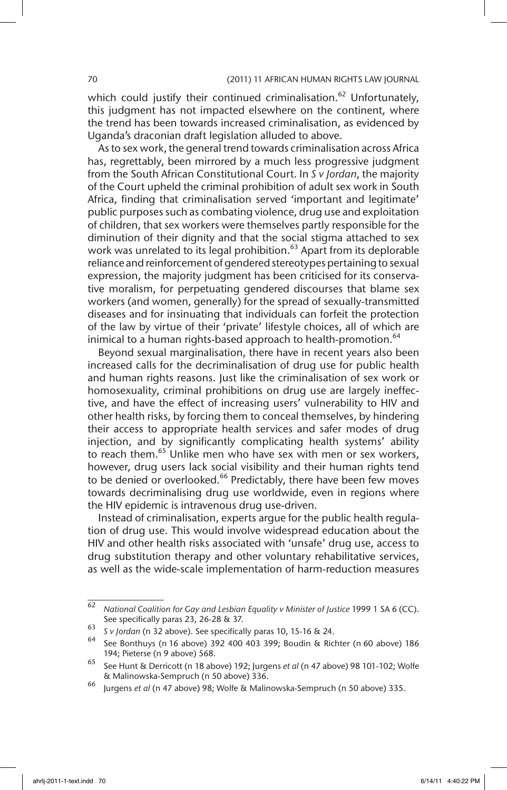which could justify their continued criminalisation.<sup>62</sup> Unfortunately, this judgment has not impacted elsewhere on the continent, where the trend has been towards increased criminalisation, as evidenced by Uganda's draconian draft legislation alluded to above.

As to sex work, the general trend towards criminalisation across Africa has, regrettably, been mirrored by a much less progressive judgment from the South African Constitutional Court. In *S v Jordan*, the majority of the Court upheld the criminal prohibition of adult sex work in South Africa, finding that criminalisation served 'important and legitimate' public purposes such as combating violence, drug use and exploitation of children, that sex workers were themselves partly responsible for the diminution of their dignity and that the social stigma attached to sex work was unrelated to its legal prohibition. $^{63}$  Apart from its deplorable reliance and reinforcement of gendered stereotypes pertaining to sexual expression, the majority judgment has been criticised for its conservative moralism, for perpetuating gendered discourses that blame sex workers (and women, generally) for the spread of sexually-transmitted diseases and for insinuating that individuals can forfeit the protection of the law by virtue of their 'private' lifestyle choices, all of which are inimical to a human rights-based approach to health-promotion.<sup>64</sup>

Beyond sexual marginalisation, there have in recent years also been increased calls for the decriminalisation of drug use for public health and human rights reasons. Just like the criminalisation of sex work or homosexuality, criminal prohibitions on drug use are largely ineffective, and have the effect of increasing users' vulnerability to HIV and other health risks, by forcing them to conceal themselves, by hindering their access to appropriate health services and safer modes of drug injection, and by significantly complicating health systems' ability to reach them.<sup>65</sup> Unlike men who have sex with men or sex workers, however, drug users lack social visibility and their human rights tend to be denied or overlooked.<sup>66</sup> Predictably, there have been few moves towards decriminalising drug use worldwide, even in regions where the HIV epidemic is intravenous drug use-driven.

Instead of criminalisation, experts argue for the public health regulation of drug use. This would involve widespread education about the HIV and other health risks associated with 'unsafe' drug use, access to drug substitution therapy and other voluntary rehabilitative services, as well as the wide-scale implementation of harm-reduction measures

<sup>62</sup> *National Coalition for Gay and Lesbian Equality v Minister of Justice* 1999 1 SA 6 (CC). See specifically paras 23, 26-28 & 37.

<sup>63</sup> *S v Jordan* (n 32 above). See specifically paras 10, 15-16 & 24.

<sup>64</sup> See Bonthuys (n 16 above) 392 400 403 399; Boudin & Richter (n 60 above) 186 194; Pieterse (n 9 above) 568.

<sup>65</sup> See Hunt & Derricott (n 18 above) 192; Jurgens *et al* (n 47 above) 98 101-102; Wolfe & Malinowska-Sempruch (n 50 above) 336.

<sup>66</sup> Jurgens *et al* (n 47 above) 98; Wolfe & Malinowska-Sempruch (n 50 above) 335.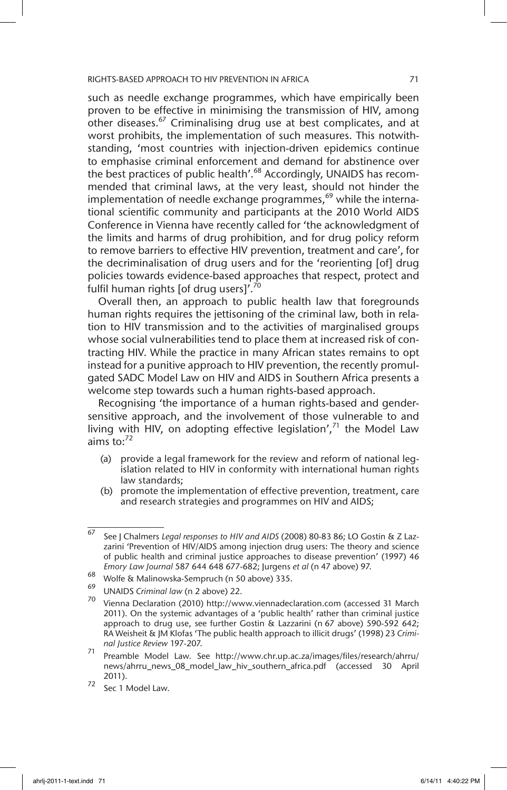such as needle exchange programmes, which have empirically been proven to be effective in minimising the transmission of HIV, among other diseases.<sup>67</sup> Criminalising drug use at best complicates, and at worst prohibits, the implementation of such measures. This notwithstanding, 'most countries with injection-driven epidemics continue to emphasise criminal enforcement and demand for abstinence over the best practices of public health'.<sup>68</sup> Accordingly, UNAIDS has recommended that criminal laws, at the very least, should not hinder the implementation of needle exchange programmes, $69$  while the international scientific community and participants at the 2010 World AIDS Conference in Vienna have recently called for 'the acknowledgment of the limits and harms of drug prohibition, and for drug policy reform to remove barriers to effective HIV prevention, treatment and care', for the decriminalisation of drug users and for the 'reorienting [of] drug policies towards evidence-based approaches that respect, protect and fulfil human rights [of drug users]'.<sup>70</sup>

Overall then, an approach to public health law that foregrounds human rights requires the jettisoning of the criminal law, both in relation to HIV transmission and to the activities of marginalised groups whose social vulnerabilities tend to place them at increased risk of contracting HIV. While the practice in many African states remains to opt instead for a punitive approach to HIV prevention, the recently promulgated SADC Model Law on HIV and AIDS in Southern Africa presents a welcome step towards such a human rights-based approach.

Recognising 'the importance of a human rights-based and gendersensitive approach, and the involvement of those vulnerable to and living with HIV, on adopting effective legislation', $71$  the Model Law aims to: $72$ 

- (a) provide a legal framework for the review and reform of national legislation related to HIV in conformity with international human rights law standards;
- (b) promote the implementation of effective prevention, treatment, care and research strategies and programmes on HIV and AIDS;

<sup>67</sup> See J Chalmers *Legal responses to HIV and AIDS* (2008) 80-83 86; LO Gostin & Z Lazzarini 'Prevention of HIV/AIDS among injection drug users: The theory and science of public health and criminal justice approaches to disease prevention' (1997) 46 *Emory Law Journal* 587 644 648 677-682; Jurgens *et al* (n 47 above) 97.

<sup>&</sup>lt;sup>68</sup> Wolfe & Malinowska-Sempruch (n 50 above) 335.

<sup>69</sup> UNAIDS *Criminal law* (n 2 above) 22.

<sup>70</sup> Vienna Declaration (2010) http://www.viennadeclaration.com (accessed 31 March 2011). On the systemic advantages of a 'public health' rather than criminal justice approach to drug use, see further Gostin & Lazzarini (n 67 above) 590-592 642; RA Weisheit & JM Klofas 'The public health approach to illicit drugs' (1998) 23 *Criminal Justice Review* 197-207.

<sup>71</sup> Preamble Model Law. See http://www.chr.up.ac.za/images/files/research/ahrru/ news/ahrru\_news\_08\_model\_law\_hiv\_southern\_africa.pdf (accessed 30 April 2011).

<sup>72</sup> Sec 1 Model Law.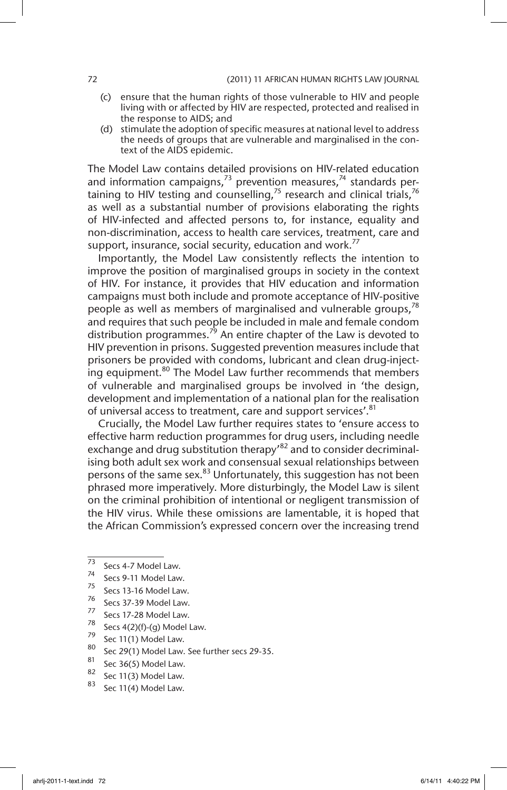- (c) ensure that the human rights of those vulnerable to HIV and people living with or affected by HIV are respected, protected and realised in the response to AIDS; and
- (d) stimulate the adoption of specific measures at national level to address the needs of groups that are vulnerable and marginalised in the context of the AIDS epidemic.

The Model Law contains detailed provisions on HIV-related education and information campaigns, $^{73}$  prevention measures, $^{74}$  standards pertaining to HIV testing and counselling,<sup>75</sup> research and clinical trials,<sup>76</sup> as well as a substantial number of provisions elaborating the rights of HIV-infected and affected persons to, for instance, equality and non-discrimination, access to health care services, treatment, care and support, insurance, social security, education and work.<sup>77</sup>

Importantly, the Model Law consistently reflects the intention to improve the position of marginalised groups in society in the context of HIV. For instance, it provides that HIV education and information campaigns must both include and promote acceptance of HIV-positive people as well as members of marginalised and vulnerable groups, $78$ and requires that such people be included in male and female condom distribution programmes. $^{79}$  An entire chapter of the Law is devoted to HIV prevention in prisons. Suggested prevention measures include that prisoners be provided with condoms, lubricant and clean drug-injecting equipment.<sup>80</sup> The Model Law further recommends that members of vulnerable and marginalised groups be involved in 'the design, development and implementation of a national plan for the realisation of universal access to treatment, care and support services'.<sup>81</sup>

Crucially, the Model Law further requires states to 'ensure access to effective harm reduction programmes for drug users, including needle exchange and drug substitution therapy<sup>82</sup> and to consider decriminalising both adult sex work and consensual sexual relationships between persons of the same sex.<sup>83</sup> Unfortunately, this suggestion has not been phrased more imperatively. More disturbingly, the Model Law is silent on the criminal prohibition of intentional or negligent transmission of the HIV virus. While these omissions are lamentable, it is hoped that the African Commission's expressed concern over the increasing trend

- <sup>78</sup> Secs 4(2)(f)-(g) Model Law.
- $^{79}$  Sec 11(1) Model Law.
- $\frac{80}{10}$  Sec 29(1) Model Law. See further secs 29-35.
- $\frac{81}{82}$  Sec 36(5) Model Law.
- $\frac{62}{83}$  Sec 11(3) Model Law.
- Sec 11(4) Model Law.

 $\frac{73}{73}$  Secs 4-7 Model Law.

 $^{74}$  Secs 9-11 Model Law.

 $\frac{75}{76}$  Secs 13-16 Model Law.

 $^{76}$  Secs 37-39 Model Law.<br> $^{77}$  Secs 17.28 Model Law

 $\frac{77}{78}$  Secs 17-28 Model Law.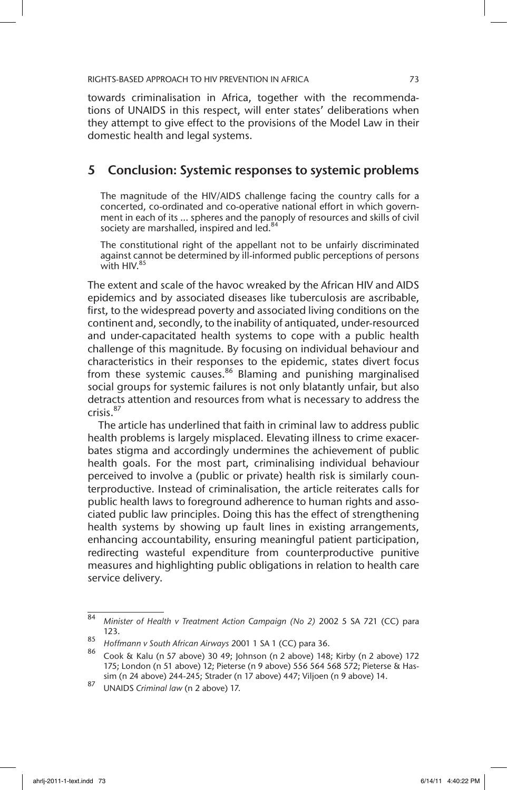towards criminalisation in Africa, together with the recommendations of UNAIDS in this respect, will enter states' deliberations when they attempt to give effect to the provisions of the Model Law in their domestic health and legal systems.

### 5 Conclusion: Systemic responses to systemic problems

The magnitude of the HIV/AIDS challenge facing the country calls for a concerted, co-ordinated and co-operative national effort in which government in each of its … spheres and the panoply of resources and skills of civil society are marshalled, inspired and led.<sup>84</sup>

The constitutional right of the appellant not to be unfairly discriminated against cannot be determined by ill-informed public perceptions of persons with HIV.<sup>85</sup>

The extent and scale of the havoc wreaked by the African HIV and AIDS epidemics and by associated diseases like tuberculosis are ascribable, first, to the widespread poverty and associated living conditions on the continent and, secondly, to the inability of antiquated, under-resourced and under-capacitated health systems to cope with a public health challenge of this magnitude. By focusing on individual behaviour and characteristics in their responses to the epidemic, states divert focus from these systemic causes.<sup>86</sup> Blaming and punishing marginalised social groups for systemic failures is not only blatantly unfair, but also detracts attention and resources from what is necessary to address the crisis.87

The article has underlined that faith in criminal law to address public health problems is largely misplaced. Elevating illness to crime exacerbates stigma and accordingly undermines the achievement of public health goals. For the most part, criminalising individual behaviour perceived to involve a (public or private) health risk is similarly counterproductive. Instead of criminalisation, the article reiterates calls for public health laws to foreground adherence to human rights and associated public law principles. Doing this has the effect of strengthening health systems by showing up fault lines in existing arrangements, enhancing accountability, ensuring meaningful patient participation, redirecting wasteful expenditure from counterproductive punitive measures and highlighting public obligations in relation to health care service delivery.

<sup>84</sup> *Minister of Health v Treatment Action Campaign (No 2)* 2002 5 SA 721 (CC) para 123.

<sup>85</sup> *Hoffmann v South African Airways* 2001 1 SA 1 (CC) para 36.

<sup>86</sup> Cook & Kalu (n 57 above) 30 49; Johnson (n 2 above) 148; Kirby (n 2 above) 172 175; London (n 51 above) 12; Pieterse (n 9 above) 556 564 568 572; Pieterse & Hassim (n 24 above) 244-245; Strader (n 17 above) 447; Viljoen (n 9 above) 14.

<sup>87</sup> UNAIDS *Criminal law* (n 2 above) 17.